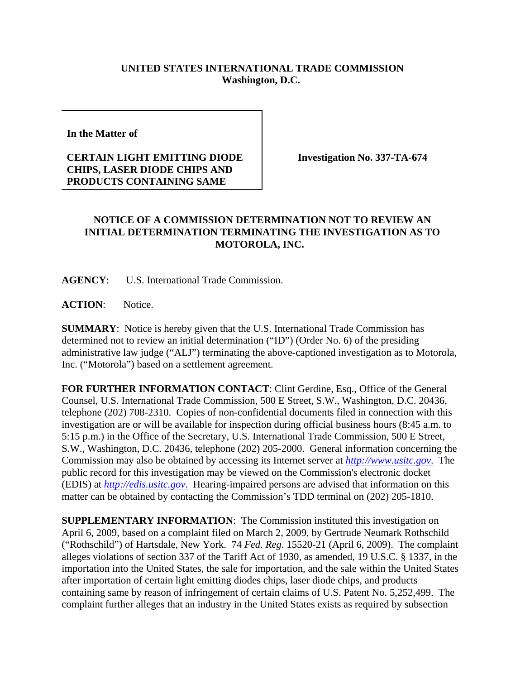## **UNITED STATES INTERNATIONAL TRADE COMMISSION Washington, D.C.**

**In the Matter of** 

## **CERTAIN LIGHT EMITTING DIODE CHIPS, LASER DIODE CHIPS AND PRODUCTS CONTAINING SAME**

**Investigation No. 337-TA-674**

## **NOTICE OF A COMMISSION DETERMINATION NOT TO REVIEW AN INITIAL DETERMINATION TERMINATING THE INVESTIGATION AS TO MOTOROLA, INC.**

**AGENCY**: U.S. International Trade Commission.

ACTION: Notice.

**SUMMARY**: Notice is hereby given that the U.S. International Trade Commission has determined not to review an initial determination ("ID") (Order No. 6) of the presiding administrative law judge ("ALJ") terminating the above-captioned investigation as to Motorola, Inc. ("Motorola") based on a settlement agreement.

**FOR FURTHER INFORMATION CONTACT**: Clint Gerdine, Esq., Office of the General Counsel, U.S. International Trade Commission, 500 E Street, S.W., Washington, D.C. 20436, telephone (202) 708-2310. Copies of non-confidential documents filed in connection with this investigation are or will be available for inspection during official business hours (8:45 a.m. to 5:15 p.m.) in the Office of the Secretary, U.S. International Trade Commission, 500 E Street, S.W., Washington, D.C. 20436, telephone (202) 205-2000. General information concerning the Commission may also be obtained by accessing its Internet server at *http://www.usitc.gov*. The public record for this investigation may be viewed on the Commission's electronic docket (EDIS) at *http://edis.usitc.gov*. Hearing-impaired persons are advised that information on this matter can be obtained by contacting the Commission's TDD terminal on (202) 205-1810.

**SUPPLEMENTARY INFORMATION:** The Commission instituted this investigation on April 6, 2009, based on a complaint filed on March 2, 2009, by Gertrude Neumark Rothschild ("Rothschild") of Hartsdale, New York. 74 *Fed. Reg*. 15520-21 (April 6, 2009). The complaint alleges violations of section 337 of the Tariff Act of 1930, as amended, 19 U.S.C. § 1337, in the importation into the United States, the sale for importation, and the sale within the United States after importation of certain light emitting diodes chips, laser diode chips, and products containing same by reason of infringement of certain claims of U.S. Patent No. 5,252,499. The complaint further alleges that an industry in the United States exists as required by subsection